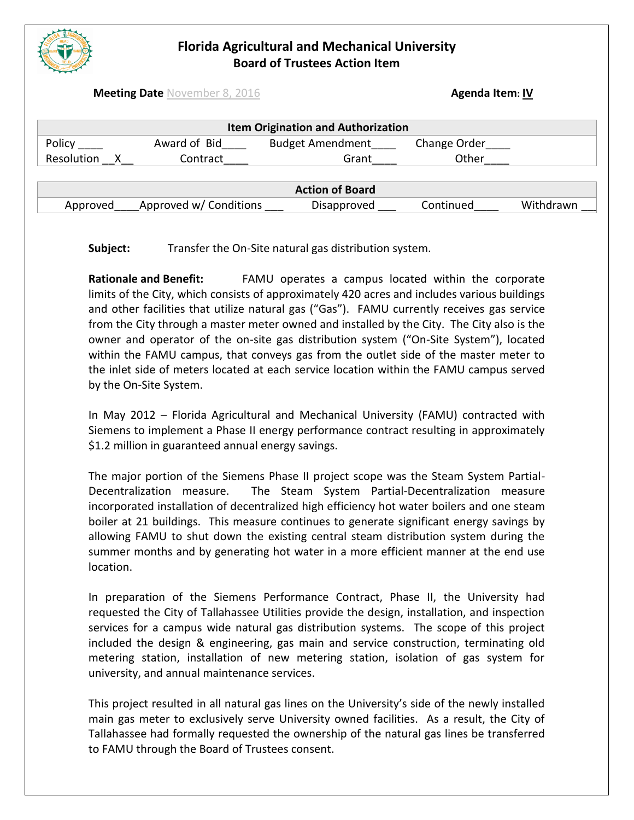

**Meeting Date** November 8, 2016 **Agenda Item: IV** 

| <b>Item Origination and Authorization</b> |                        |                         |              |           |  |
|-------------------------------------------|------------------------|-------------------------|--------------|-----------|--|
| Policy                                    | Award of Bid           | <b>Budget Amendment</b> | Change Order |           |  |
| Resolution                                | Contract               | Grant                   | Other        |           |  |
|                                           |                        |                         |              |           |  |
| <b>Action of Board</b>                    |                        |                         |              |           |  |
| Approved                                  | Approved w/ Conditions | Disapproved             | Continued    | Withdrawn |  |

**Subject:** Transfer the On-Site natural gas distribution system.

**Rationale and Benefit:** FAMU operates a campus located within the corporate limits of the City, which consists of approximately 420 acres and includes various buildings and other facilities that utilize natural gas ("Gas"). FAMU currently receives gas service from the City through a master meter owned and installed by the City. The City also is the owner and operator of the on-site gas distribution system ("On-Site System"), located within the FAMU campus, that conveys gas from the outlet side of the master meter to the inlet side of meters located at each service location within the FAMU campus served by the On-Site System.

In May 2012 – Florida Agricultural and Mechanical University (FAMU) contracted with Siemens to implement a Phase II energy performance contract resulting in approximately \$1.2 million in guaranteed annual energy savings.

The major portion of the Siemens Phase II project scope was the Steam System Partial-Decentralization measure. The Steam System Partial-Decentralization measure incorporated installation of decentralized high efficiency hot water boilers and one steam boiler at 21 buildings. This measure continues to generate significant energy savings by allowing FAMU to shut down the existing central steam distribution system during the summer months and by generating hot water in a more efficient manner at the end use location.

In preparation of the Siemens Performance Contract, Phase II, the University had requested the City of Tallahassee Utilities provide the design, installation, and inspection services for a campus wide natural gas distribution systems. The scope of this project included the design & engineering, gas main and service construction, terminating old metering station, installation of new metering station, isolation of gas system for university, and annual maintenance services.

This project resulted in all natural gas lines on the University's side of the newly installed main gas meter to exclusively serve University owned facilities. As a result, the City of Tallahassee had formally requested the ownership of the natural gas lines be transferred to FAMU through the Board of Trustees consent.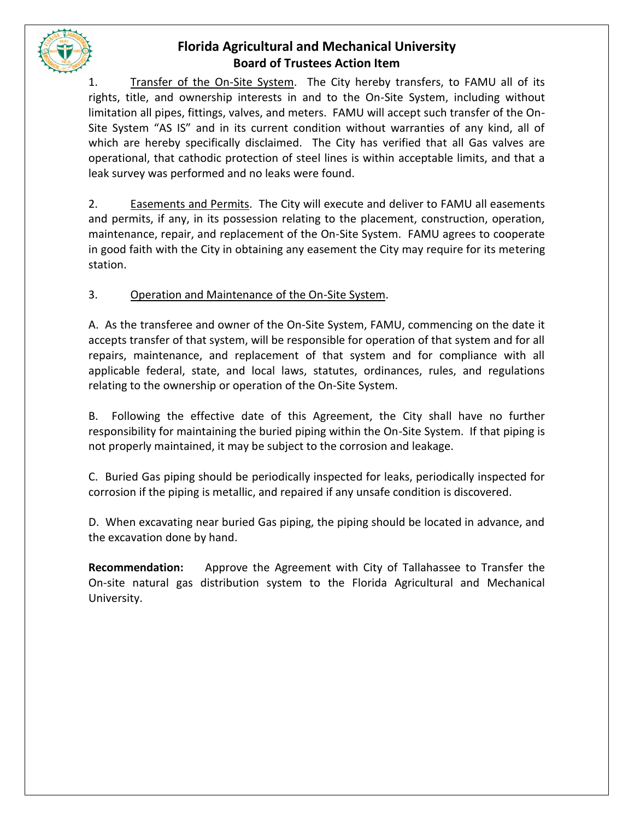

1. Transfer of the On-Site System. The City hereby transfers, to FAMU all of its rights, title, and ownership interests in and to the On-Site System, including without limitation all pipes, fittings, valves, and meters. FAMU will accept such transfer of the On-Site System "AS IS" and in its current condition without warranties of any kind, all of which are hereby specifically disclaimed. The City has verified that all Gas valves are operational, that cathodic protection of steel lines is within acceptable limits, and that a leak survey was performed and no leaks were found.

2. Easements and Permits. The City will execute and deliver to FAMU all easements and permits, if any, in its possession relating to the placement, construction, operation, maintenance, repair, and replacement of the On-Site System. FAMU agrees to cooperate in good faith with the City in obtaining any easement the City may require for its metering station.

### 3. Operation and Maintenance of the On-Site System.

A. As the transferee and owner of the On-Site System, FAMU, commencing on the date it accepts transfer of that system, will be responsible for operation of that system and for all repairs, maintenance, and replacement of that system and for compliance with all applicable federal, state, and local laws, statutes, ordinances, rules, and regulations relating to the ownership or operation of the On-Site System.

B. Following the effective date of this Agreement, the City shall have no further responsibility for maintaining the buried piping within the On-Site System. If that piping is not properly maintained, it may be subject to the corrosion and leakage.

C. Buried Gas piping should be periodically inspected for leaks, periodically inspected for corrosion if the piping is metallic, and repaired if any unsafe condition is discovered.

D. When excavating near buried Gas piping, the piping should be located in advance, and the excavation done by hand.

**Recommendation:** Approve the Agreement with City of Tallahassee to Transfer the On-site natural gas distribution system to the Florida Agricultural and Mechanical University.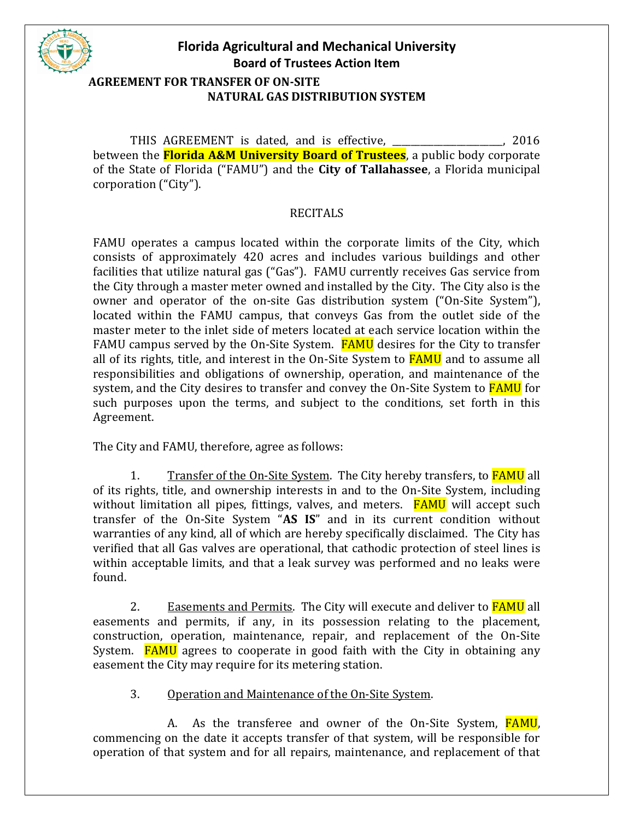

## **AGREEMENT FOR TRANSFER OF ON-SITE NATURAL GAS DISTRIBUTION SYSTEM**

THIS AGREEMENT is dated, and is effective, \_\_\_\_\_\_\_\_\_\_\_\_\_\_\_\_\_\_\_\_\_\_\_\_, 2016 between the **Florida A&M University Board of Trustees**, a public body corporate of the State of Florida ("FAMU") and the **City of Tallahassee**, a Florida municipal corporation ("City").

#### RECITALS

FAMU operates a campus located within the corporate limits of the City, which consists of approximately 420 acres and includes various buildings and other facilities that utilize natural gas ("Gas"). FAMU currently receives Gas service from the City through a master meter owned and installed by the City. The City also is the owner and operator of the on-site Gas distribution system ("On-Site System"), located within the FAMU campus, that conveys Gas from the outlet side of the master meter to the inlet side of meters located at each service location within the FAMU campus served by the On-Site System. FAMU desires for the City to transfer all of its rights, title, and interest in the On-Site System to **FAMU** and to assume all responsibilities and obligations of ownership, operation, and maintenance of the system, and the City desires to transfer and convey the On-Site System to **FAMU** for such purposes upon the terms, and subject to the conditions, set forth in this Agreement.

The City and FAMU, therefore, agree as follows:

1. Transfer of the On-Site System. The City hereby transfers, to **FAMU** all of its rights, title, and ownership interests in and to the On-Site System, including without limitation all pipes, fittings, valves, and meters. FAMU will accept such transfer of the On-Site System "**AS IS**" and in its current condition without warranties of any kind, all of which are hereby specifically disclaimed. The City has verified that all Gas valves are operational, that cathodic protection of steel lines is within acceptable limits, and that a leak survey was performed and no leaks were found.

2. Easements and Permits. The City will execute and deliver to **FAMU** all easements and permits, if any, in its possession relating to the placement, construction, operation, maintenance, repair, and replacement of the On-Site System. **FAMU** agrees to cooperate in good faith with the City in obtaining any easement the City may require for its metering station.

3. Operation and Maintenance of the On-Site System.

A. As the transferee and owner of the On-Site System, FAMU, commencing on the date it accepts transfer of that system, will be responsible for operation of that system and for all repairs, maintenance, and replacement of that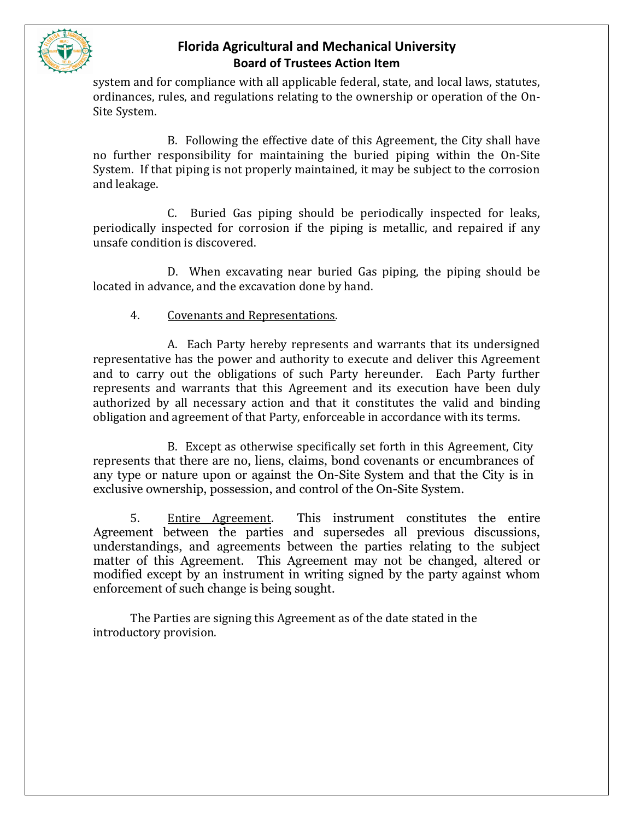

system and for compliance with all applicable federal, state, and local laws, statutes, ordinances, rules, and regulations relating to the ownership or operation of the On-Site System.

B. Following the effective date of this Agreement, the City shall have no further responsibility for maintaining the buried piping within the On-Site System. If that piping is not properly maintained, it may be subject to the corrosion and leakage.

C. Buried Gas piping should be periodically inspected for leaks, periodically inspected for corrosion if the piping is metallic, and repaired if any unsafe condition is discovered.

D. When excavating near buried Gas piping, the piping should be located in advance, and the excavation done by hand.

### 4. Covenants and Representations.

A. Each Party hereby represents and warrants that its undersigned representative has the power and authority to execute and deliver this Agreement and to carry out the obligations of such Party hereunder. Each Party further represents and warrants that this Agreement and its execution have been duly authorized by all necessary action and that it constitutes the valid and binding obligation and agreement of that Party, enforceable in accordance with its terms.

B. Except as otherwise specifically set forth in this Agreement, City represents that there are no, liens, claims, bond covenants or encumbrances of any type or nature upon or against the On-Site System and that the City is in exclusive ownership, possession, and control of the On-Site System.

5. Entire Agreement. This instrument constitutes the entire Agreement between the parties and supersedes all previous discussions, understandings, and agreements between the parties relating to the subject matter of this Agreement. This Agreement may not be changed, altered or modified except by an instrument in writing signed by the party against whom enforcement of such change is being sought.

The Parties are signing this Agreement as of the date stated in the introductory provision.